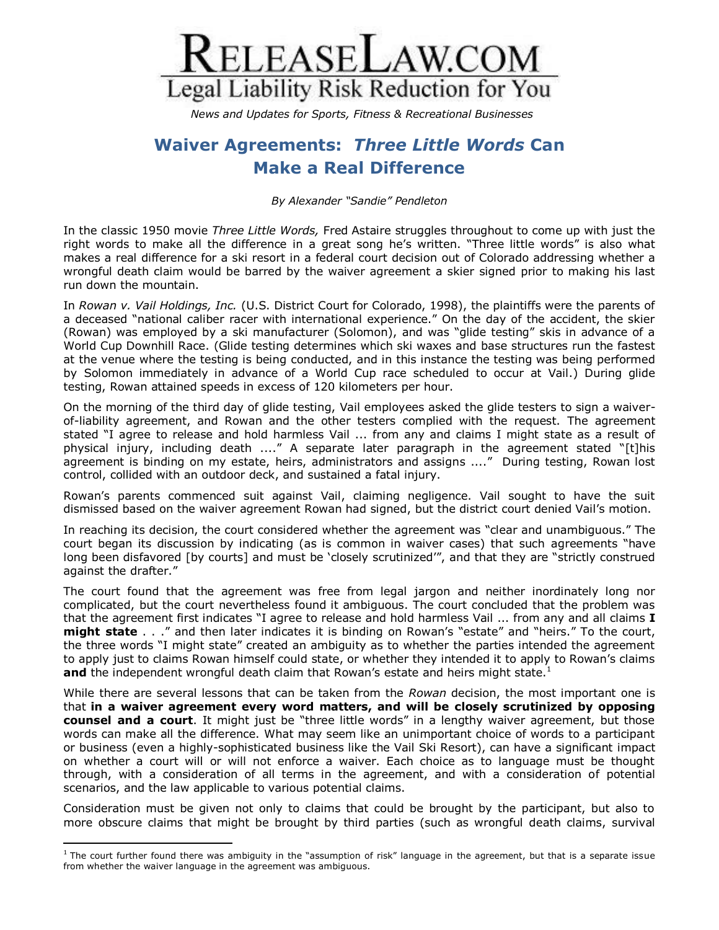

*News and Updates for Sports, Fitness & Recreational Businesses*

## **Waiver Agreements:** *Three Little Words* **Can Make a Real Difference**

*By Alexander "Sandie" Pendleton*

In the classic 1950 movie *Three Little Words,* Fred Astaire struggles throughout to come up with just the right words to make all the difference in a great song he's written. "Three little words" is also what makes a real difference for a ski resort in a federal court decision out of Colorado addressing whether a wrongful death claim would be barred by the waiver agreement a skier signed prior to making his last run down the mountain.

In *Rowan v. Vail Holdings, Inc.* (U.S. District Court for Colorado, 1998), the plaintiffs were the parents of a deceased "national caliber racer with international experience." On the day of the accident, the skier (Rowan) was employed by a ski manufacturer (Solomon), and was "glide testing" skis in advance of a World Cup Downhill Race. (Glide testing determines which ski waxes and base structures run the fastest at the venue where the testing is being conducted, and in this instance the testing was being performed by Solomon immediately in advance of a World Cup race scheduled to occur at Vail.) During glide testing, Rowan attained speeds in excess of 120 kilometers per hour.

On the morning of the third day of glide testing, Vail employees asked the glide testers to sign a waiverof-liability agreement, and Rowan and the other testers complied with the request. The agreement stated "I agree to release and hold harmless Vail ... from any and claims I might state as a result of physical injury, including death ...." A separate later paragraph in the agreement stated "[t]his agreement is binding on my estate, heirs, administrators and assigns ...." During testing, Rowan lost control, collided with an outdoor deck, and sustained a fatal injury.

Rowan's parents commenced suit against Vail, claiming negligence. Vail sought to have the suit dismissed based on the waiver agreement Rowan had signed, but the district court denied Vail's motion.

In reaching its decision, the court considered whether the agreement was "clear and unambiguous." The court began its discussion by indicating (as is common in waiver cases) that such agreements "have long been disfavored [by courts] and must be 'closely scrutinized'", and that they are "strictly construed against the drafter."

The court found that the agreement was free from legal jargon and neither inordinately long nor complicated, but the court nevertheless found it ambiguous. The court concluded that the problem was that the agreement first indicates "I agree to release and hold harmless Vail ... from any and all claims **I might state** . . ." and then later indicates it is binding on Rowan's "estate" and "heirs." To the court, the three words "I might state" created an ambiguity as to whether the parties intended the agreement to apply just to claims Rowan himself could state, or whether they intended it to apply to Rowan's claims **and** the independent wrongful death claim that Rowan's estate and heirs might state.<sup>1</sup>

While there are several lessons that can be taken from the *Rowan* decision, the most important one is that **in a waiver agreement every word matters, and will be closely scrutinized by opposing counsel and a court**. It might just be "three little words" in a lengthy waiver agreement, but those words can make all the difference. What may seem like an unimportant choice of words to a participant or business (even a highly-sophisticated business like the Vail Ski Resort), can have a significant impact on whether a court will or will not enforce a waiver. Each choice as to language must be thought through, with a consideration of all terms in the agreement, and with a consideration of potential scenarios, and the law applicable to various potential claims.

Consideration must be given not only to claims that could be brought by the participant, but also to more obscure claims that might be brought by third parties (such as wrongful death claims, survival

 1 The court further found there was ambiguity in the "assumption of risk" language in the agreement, but that is a separate issue from whether the waiver language in the agreement was ambiguous.